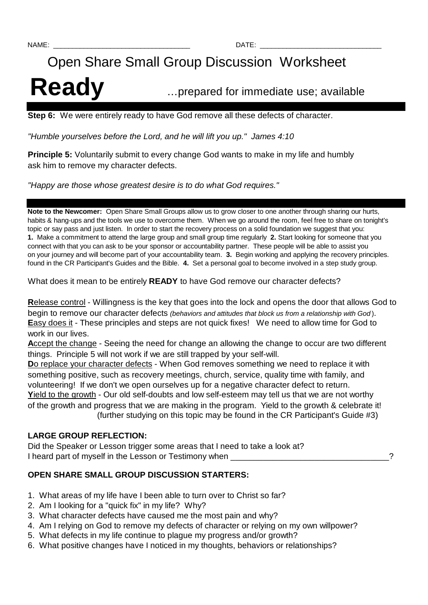# Open Share Small Group Discussion Worksheet Ready **Ready Example 20 Ready EXECU**

**Step 6:** We were entirely ready to have God remove all these defects of character.

"Humble yourselves before the Lord, and he will lift you up." James 4:10

**Principle 5:** Voluntarily submit to every change God wants to make in my life and humbly ask him to remove my character defects.

"Happy are those whose greatest desire is to do what God requires."

**Note to the Newcomer:** Open Share Small Groups allow us to grow closer to one another through sharing our hurts, habits & hang-ups and the tools we use to overcome them. When we go around the room, feel free to share on tonight's topic or say pass and just listen. In order to start the recovery process on a solid foundation we suggest that you: **1.** Make a commitment to attend the large group and small group time regularly **2.** Start looking for someone that you connect with that you can ask to be your sponsor or accountability partner. These people will be able to assist you on your journey and will become part of your accountability team. **3.** Begin working and applying the recovery principles. found in the CR Participant's Guides and the Bible. **4.** Set a personal goal to become involved in a step study group.

What does it mean to be entirely **READY** to have God remove our character defects?

**R**elease control - Willingness is the key that goes into the lock and opens the door that allows God to begin to remove our character defects (behaviors and attitudes that block us from a relationship with God). **Easy does it** - These principles and steps are not quick fixes! We need to allow time for God to work in our lives.

**A**ccept the change - Seeing the need for change an allowing the change to occur are two different things. Principle 5 will not work if we are still trapped by your self-will.

**D**o replace your character defects - When God removes something we need to replace it with something positive, such as recovery meetings, church, service, quality time with family, and volunteering! If we don't we open ourselves up for a negative character defect to return. **Y**ield to the growth - Our old self-doubts and low self-esteem may tell us that we are not worthy of the growth and progress that we are making in the program. Yield to the growth & celebrate it! (further studying on this topic may be found in the CR Participant's Guide #3)

# **LARGE GROUP REFLECTION:**

Did the Speaker or Lesson trigger some areas that I need to take a look at? I heard part of myself in the Lesson or Testimony when  $\sim$ 

# **OPEN SHARE SMALL GROUP DISCUSSION STARTERS:**

- 1. What areas of my life have I been able to turn over to Christ so far?
- 2. Am I looking for a "quick fix" in my life? Why?
- 3. What character defects have caused me the most pain and why?
- 4. Am I relying on God to remove my defects of character or relying on my own willpower?
- 5. What defects in my life continue to plague my progress and/or growth?
- 6. What positive changes have I noticed in my thoughts, behaviors or relationships?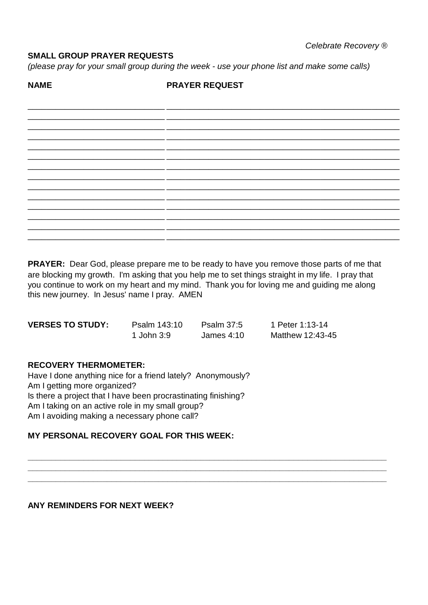# **SMALL GROUP PRAYER REQUESTS**

(please pray for your small group during the week - use your phone list and make some calls)

**NAME** 

#### **PRAYER REQUEST**

**PRAYER:** Dear God, please prepare me to be ready to have you remove those parts of me that are blocking my growth. I'm asking that you help me to set things straight in my life. I pray that you continue to work on my heart and my mind. Thank you for loving me and guiding me along this new journey. In Jesus' name I pray. AMEN

| <b>VERSES TO STUDY:</b> | Psalm 143:10 | <b>Psalm 37:5</b> | 1 Peter 1:13-14  |
|-------------------------|--------------|-------------------|------------------|
|                         | 1 John 3:9   | James $4:10$      | Matthew 12:43-45 |

#### **RECOVERY THERMOMETER:**

Have I done anything nice for a friend lately? Anonymously? Am I getting more organized? Is there a project that I have been procrastinating finishing? Am I taking on an active role in my small group? Am I avoiding making a necessary phone call?

# **MY PERSONAL RECOVERY GOAL FOR THIS WEEK:**

# ANY REMINDERS FOR NEXT WEEK?